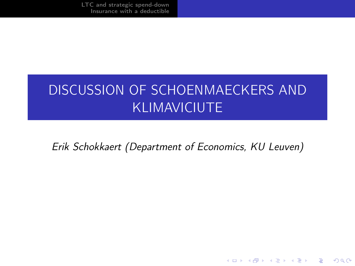[LTC and strategic spend-down](#page-2-0) [Insurance with a deductible](#page-7-0)

# DISCUSSION OF SCHOENMAECKERS AND KLIMAVICIUTE

Erik Schokkaert (Department of Economics, KU Leuven)

**KORK (FRAGE) KERK EL POLO**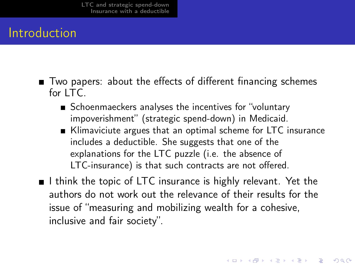### Introduction

- Two papers: about the effects of different financing schemes for  $ITC$ 
	- Schoenmaeckers analyses the incentives for "voluntary impoverishment" (strategic spend-down) in Medicaid.
	- Klimaviciute argues that an optimal scheme for LTC insurance includes a deductible. She suggests that one of the explanations for the LTC puzzle (i.e. the absence of LTC-insurance) is that such contracts are not offered.
- $\blacksquare$  I think the topic of LTC insurance is highly relevant. Yet the authors do not work out the relevance of their results for the issue of "measuring and mobilizing wealth for a cohesive, inclusive and fair society".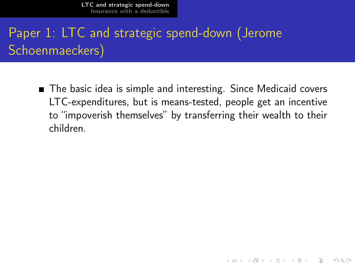[LTC and strategic spend-down](#page-2-0) [Insurance with a deductible](#page-7-0)

# <span id="page-2-0"></span>Paper 1: LTC and strategic spend-down (Jerome Schoenmaeckers)

■ The basic idea is simple and interesting. Since Medicaid covers LTC-expenditures, but is means-tested, people get an incentive to "impoverish themselves" by transferring their wealth to their children.

**KORKAR KERKER EL VOLO**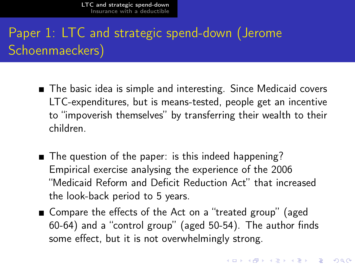# Paper 1: LTC and strategic spend-down (Jerome Schoenmaeckers)

- The basic idea is simple and interesting. Since Medicaid covers LTC-expenditures, but is means-tested, people get an incentive to "impoverish themselves" by transferring their wealth to their children.
- The question of the paper: is this indeed happening? Empirical exercise analysing the experience of the 2006 "Medicaid Reform and Deficit Reduction Act" that increased the look-back period to 5 years.
- Compare the effects of the Act on a "treated group" (aged 60-64) and a "control group" (aged 50-54). The author finds some effect, but it is not overwhelmingly strong.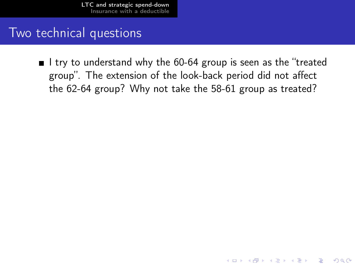#### Two technical questions

I try to understand why the 60-64 group is seen as the "treated" group". The extension of the look-back period did not affect the 62-64 group? Why not take the 58-61 group as treated?

**KOD CONTRACT A ST AND KOD**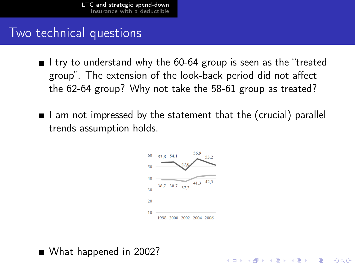#### Two technical questions

- I try to understand why the 60-64 group is seen as the "treated group". The extension of the look-back period did not affect the 62-64 group? Why not take the 58-61 group as treated?
- $\blacksquare$  I am not impressed by the statement that the (crucial) parallel trends assumption holds.



**KOD CONTRACT A ST AND KOD** 

What happened in 2002?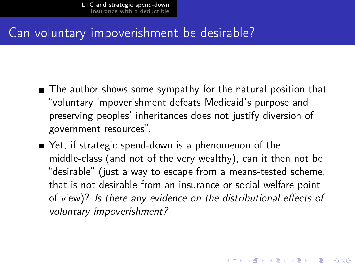#### Can voluntary impoverishment be desirable?

- The author shows some sympathy for the natural position that "voluntary impoverishment defeats Medicaid's purpose and preserving peoples' inheritances does not justify diversion of government resources".
- Yet, if strategic spend-down is a phenomenon of the middle-class (and not of the very wealthy), can it then not be "desirable" (just a way to escape from a means-tested scheme, that is not desirable from an insurance or social welfare point of view)? Is there any evidence on the distributional effects of voluntary impoverishment?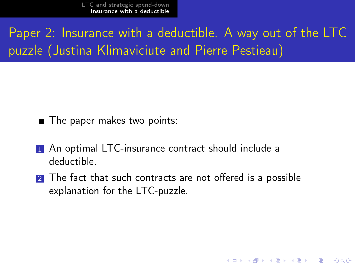<span id="page-7-0"></span>Paper 2: Insurance with a deductible. A way out of the LTC puzzle (Justina Klimaviciute and Pierre Pestieau)

- The paper makes two points:
- **1** An optimal LTC-insurance contract should include a deductible.
- 2 The fact that such contracts are not offered is a possible explanation for the LTC-puzzle.

**KORK EX KEY KEY YOUR**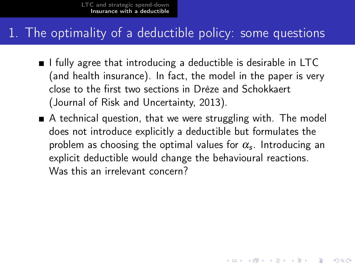#### 1. The optimality of a deductible policy: some questions

- $\blacksquare$  I fully agree that introducing a deductible is desirable in LTC (and health insurance). In fact, the model in the paper is very close to the first two sections in Drèze and Schokkaert (Journal of Risk and Uncertainty, 2013).
- A technical question, that we were struggling with. The model does not introduce explicitly a deductible but formulates the problem as choosing the optimal values for  $\alpha_{\mathsf{s}}$ . Introducing an explicit deductible would change the behavioural reactions. Was this an irrelevant concern?

**KOD CONTRACT A ST AND KOD**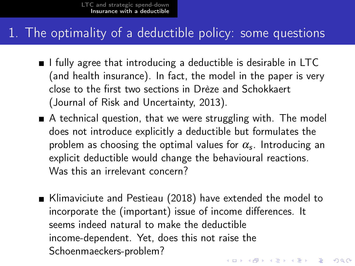#### 1. The optimality of a deductible policy: some questions

- $\blacksquare$  I fully agree that introducing a deductible is desirable in LTC (and health insurance). In fact, the model in the paper is very close to the first two sections in Drèze and Schokkaert (Journal of Risk and Uncertainty, 2013).
- A technical question, that we were struggling with. The model does not introduce explicitly a deductible but formulates the problem as choosing the optimal values for  $\alpha_{\mathsf{s}}$ . Introducing an explicit deductible would change the behavioural reactions. Was this an irrelevant concern?
- Klimaviciute and Pestieau (2018) have extended the model to incorporate the (important) issue of income differences. It seems indeed natural to make the deductible income-dependent. Yet, does this not raise the Schoenmaeckers-problem?4 D X 4 P X 3 X 4 B X 3 B X 9 Q O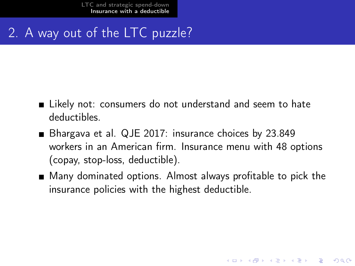### 2. A way out of the LTC puzzle?

- Likely not: consumers do not understand and seem to hate deductibles.
- Bhargava et al. QJE 2017: insurance choices by 23.849 workers in an American firm. Insurance menu with 48 options (copay, stop-loss, deductible).
- Many dominated options. Almost always profitable to pick the insurance policies with the highest deductible.

**KORK EX KEY KEY YOUR**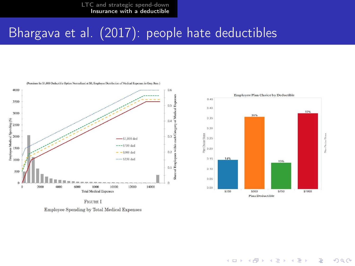[LTC and strategic spend-down](#page-2-0) [Insurance with a deductible](#page-7-0)

### Bhargava et al. (2017): people hate deductibles





 $4$  ロ )  $4$   $6$  )  $4$   $3$  )  $4$   $3$  )  $4$   $3$   $3$ 

÷,

 $2990$ 

Employee Spending by Total Medical Expenses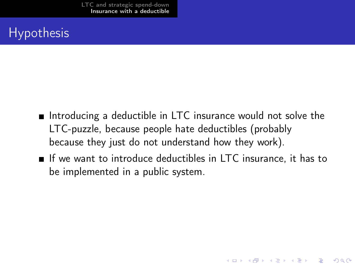### **Hypothesis**

- Introducing a deductible in LTC insurance would not solve the LTC-puzzle, because people hate deductibles (probably because they just do not understand how they work).
- If we want to introduce deductibles in LTC insurance, it has to be implemented in a public system.

**A DIA K PIA A BIA A BIA A Q A CA**